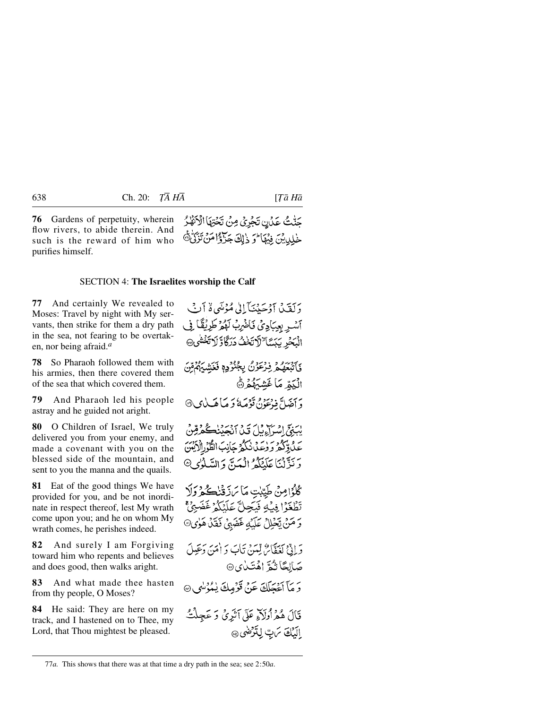**76** Gardens of perpetuity, wherein flow rivers, to abide therein. And such is the reward of him who purifies himself.

SECTION 4: **The Israelites worship the Calf**

**77** And certainly We revealed to Moses: Travel by night with My servants, then strike for them a dry path in the sea, not fearing to be overtaken, nor being afraid.*a*

**78** So Pharaoh followed them with his armies, then there covered them of the sea that which covered them.

**79** And Pharaoh led his people astray and he guided not aright.

**80** O Children of Israel, We truly delivered you from your enemy, and made a covenant with you on the blessed side of the mountain, and sent to you the manna and the quails.

**81** Eat of the good things We have provided for you, and be not inordinate in respect thereof, lest My wrath come upon you; and he on whom My wrath comes, he perishes indeed.

**82** And surely I am Forgiving toward him who repents and believes and does good, then walks aright.

**83** And what made thee hasten from thy people, O Moses?

**84** He said: They are here on my track, and I hastened on to Thee, my Lord, that Thou mightest be pleased.

دَ كَقَيْدُ آدْ حَيْنَنَآ إِلَىٰ مُؤْمَنِي وَ آنَ آسْرِ بِعِبَادِيْ فَاضْرِبْ لَهْمْ طَرِيْقًا فِي الْبَحْرِ يَبَسَّا ٌ لَا تَخْفُ دَرَكَاوَّ لَا تَخْشَى فَأَتَبْعَهُمْ نِرْعَوْنُ بِجُنُّوَدِهِ فَغَشِيَهُمْ مِّنَ الْبَمّْ مَا غَشْبَهُمْ ۞ وَ آصَلَّ فِي تَحَدُّدُ، تَوْصَعُ وَ صَاهَبِ لِي ۞ يْبَنِيِّ إِسْرَاءِ بِّلْ قَيْنَ أَنْجَيْنِكُمْ قِنْ رَ نَزَّلْنَا عَلَيْكُمُ الْمَيْتَ دَ السَّلَوْٰدِ۞ كُلُوْامِنْ طَيِّبْتِ مَا مَ ذَقْنُكُمْ وَلَا تَطْغَوْا فِيْءٍ فَيَجِلَّ عَلَيْكُمْ غَضَبِيٌّ وَ مَنْ يَحْلِلْ عَلَيْهِ غَضَبِيْ فَقَلْ هَلِيِ۞ دَ إِنَّيْ كَغَفَّاحٌ لِّينَ نَأْبَ دَ أَمَنَ دَعَبِلَ صَالِحًا تُمَةَ اهْتَـٰدُى® وَ مَآ أَعۡجَلَكَ عَنۡ قَوۡمِكَ بِيُمۡوَسَٰوِ ۞ قَالَ هُمْ أُوَلَاهِ عَلَى آَثَرِيٌّ وَ عَجِلْتٌ الكِّكَ بَنِبٌ لِتَرْضَى ۞

حَنّْتُ عَدْنِ تَجْرِيْ مِنْ تَحْقِهَا الْأَنْفَٰرُ خْلِدِيْنَ فِيْهَا ۚ وَ ذَٰلِكَ جَزَّوْۚ أَهَنَّ تَزَكَّنَّ۞

<sup>77</sup>*a.* This shows that there was at that time a dry path in the sea; see 2:50*a*.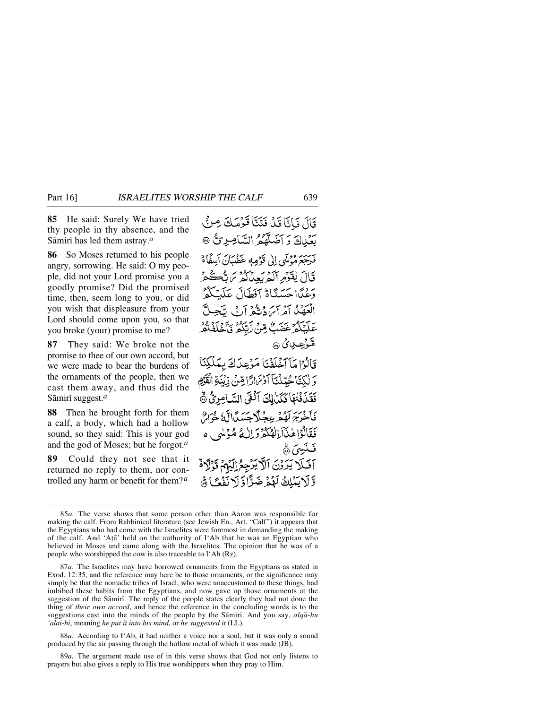**85** He said: Surely We have tried thy people in thy absence, and the Sāmirī has led them astray.<sup>*a*</sup>

**86** So Moses returned to his people angry, sorrowing. He said: O my people, did not your Lord promise you a goodly promise? Did the promised time, then, seem long to you, or did you wish that displeasure from your Lord should come upon you, so that you broke (your) promise to me?

**87** They said: We broke not the promise to thee of our own accord, but we were made to bear the burdens of the ornaments of the people, then we cast them away, and thus did the Sāmiri suggest.<sup>*a*</sup>

**88** Then he brought forth for them a calf, a body, which had a hollow sound, so they said: This is your god and the god of Moses; but he forgot.*a*

**89** Could they not see that it returned no reply to them, nor controlled any harm or benefit for them?*a*

قَالَ فَإِنَّا قَدْ فَتَنَّا قَرْمَكَ مِنْ بِعَبِيادٍ وَ أَضَلَّهُمُ السَّامِرِيُّ ۞ مَرْسَرَمُ مُدْمَيْهِي إِلَى قَوْمِهِ عَضْبَانَ أَسِفًا ةَ قَالَ يُقَوْمِ آلَهُ بَعِدْلُهُمْ يَرَسُّكُمْ مَ دِيمًا حَسَنًاَةُ آفَطَالَ عَلَمْ الْعَدُبُكُ أَمْرَاسَ دَيْثُهُ أَدْ بِي تَّ عَلَيْكُمْ غَضَبٌ مِّنْ رَّبَّكُمْ فَأَخْرَ مُنْدَّنِيْتِ بِنَ ۞ قَالَوْا مَآآخَلَفْنَا مَرْعِدَكَ بِمَلْكِنَا وَ لَكِتَا جُبِّدْنَا آَدْنَرَارَّا مِّنْ زِيْنَةِ الْقَوْمِ فَقَذَٰنَٰٓئُنَّا كُلِّنَالِكَ آلُغَى السَّامِرِيُّ ۞ فَأَخْرَجَ لَقُمْهِ عِجْلًا حَسَدًا لَّهُ خُوَارٌ فَقَالَوْاهْذَآبَالْهُكُمْ وَإِلَٰهُ مُؤْنِيهِ وَ آفَلَا يَرَرْنَ ٱلْأَيْرَجِعُ اِلَيْهِمْ قَرْلًاهُ وَّلَا يَمْلِكُ لَهُمْ ضَرًّاوَّ لَا نَفْعًا َهُ

88*a.* According to I'Ab, it had neither a voice nor a soul, but it was only a sound produced by the air passing through the hollow metal of which it was made (JB).

89*a.* The argument made use of in this verse shows that God not only listens to prayers but also gives a reply to His true worshippers when they pray to Him.

<sup>85</sup>*a.* The verse shows that some person other than Aaron was responsible for making the calf. From Rabbinical literature (see Jewish En., Art. "Calf") it appears that the Egyptians who had come with the Israelites were foremost in demanding the making of the calf. And 'Aṭā' held on the authority of I'Ab that he was an Egyptian who believed in Moses and came along with the Israelites. The opinion that he was of a people who worshipped the cow is also traceable to I'Ab (Rz).

<sup>87</sup>*a.* The Israelites may have borrowed ornaments from the Egyptians as stated in Exod. 12:35, and the reference may here be to those ornaments, or the significance may simply be that the nomadic tribes of Israel, who were unaccustomed to these things, had imbibed these habits from the Egyptians, and now gave up those ornaments at the suggestion of the Sāmirī. The reply of the people states clearly they had not done the thing of *their own accord*, and hence the reference in the concluding words is to the suggestions cast into the minds of the people by the Såmirß. And you say, *alqå-hu 'alai-hi*, meaning *he put it into his mind*, or *he suggested it* (LL).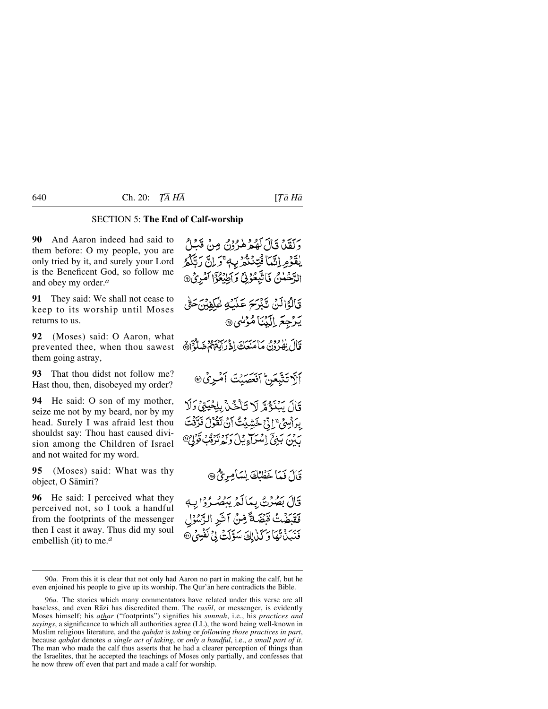## SECTION 5: **The End of Calf-worship**

**90** And Aaron indeed had said to them before: O my people, you are only tried by it, and surely your Lord is the Beneficent God, so follow me and obey my order.*a*

**91** They said: We shall not cease to keep to its worship until Moses returns to us.

**92** (Moses) said: O Aaron, what prevented thee, when thou sawest them going astray,

**93** That thou didst not follow me? Hast thou, then, disobeyed my order?

**94** He said: O son of my mother, seize me not by my beard, nor by my head. Surely I was afraid lest thou shouldst say: Thou hast caused division among the Children of Israel and not waited for my word.

**95** (Moses) said: What was thy object, O Sāmiri?

**96** He said: I perceived what they perceived not, so I took a handful from the footprints of the messenger then I cast it away. Thus did my soul embellish (it) to me.*a*

وَكَقَدْنَا قَالَ لَهُمْ هٰرُدُوْنُ مِنْ قَبْلُ يْقَوْمِ إِنَّمَا فُتِنْتُمْ بِهِ ۚ وَلِنَّ رَبَّكُمُ الرَّحْلُنُ فَاتَّبِعُوْنَ وَأَطِيْعُوَّا آَمُرِيُ® قَالَوُالَهُ، تَدْبَحَ عَلَيْهِ عُلَيْهِمْ. يَرْجِعَ إِلَيْنَا مُؤْسَى ٢ قَالَ يَفْدُدُنَّ مَأْمَنَعَكَ إِذْ رَأَيَتُهُمْ ضَلَّهُمْ أَهْ ألآ تَتَّبَعَنْ أَنْعَصِيْتَ أَمْبِرَيْ۞ قَالَ يَبْنَؤُمَّ لَا تَأْخُذُ بِلِجْيَتِيْ وَلَا ِبِرَاسِيِّ ۚ إِنَّ خَشِيْتُ أَنْ تَقُولَ نَرَّتُتَ رویر ښای او په دل سرد سوو د مخو<br>پېنې بېنې استراد پیل د له ترقب قر قَالَ فَمَا خَطْبُكَ يْسَامِرِيٌّ ۞ قَالَ بَصُرْتُ بِمَالَهُ يَبْصُرُوْا بِ

فَقَبَضَتُ قَبِّضَةً مِّنْ آخَرِ الرَّسُوْلِ دَبَرَ مِيْمَا رَكَنْ لِكَ سَوَّلَتْ لِيُّ نَفْسِيُّ ®

<sup>90</sup>*a.* From this it is clear that not only had Aaron no part in making the calf, but he even enjoined his people to give up its worship. The Qur'ån here contradicts the Bible.

<sup>96</sup>*a.* The stories which many commentators have related under this verse are all baseless, and even Rāzī has discredited them. The *rasūl*, or messenger, is evidently Moses himself; his *athar* ("footprints") signifies his *sunnah*, i.e., his *practices and sayings*, a significance to which all authorities agree (LL), the word being well-known in Muslim religious literature, and the *qabdat* is *taking* or *following those practices in part*, because *qab˙at* denotes *a single act of taking*, or *only a handful*, i.e., *a small part of it*. The man who made the calf thus asserts that he had a clearer perception of things than the Israelites, that he accepted the teachings of Moses only partially, and confesses that he now threw off even that part and made a calf for worship.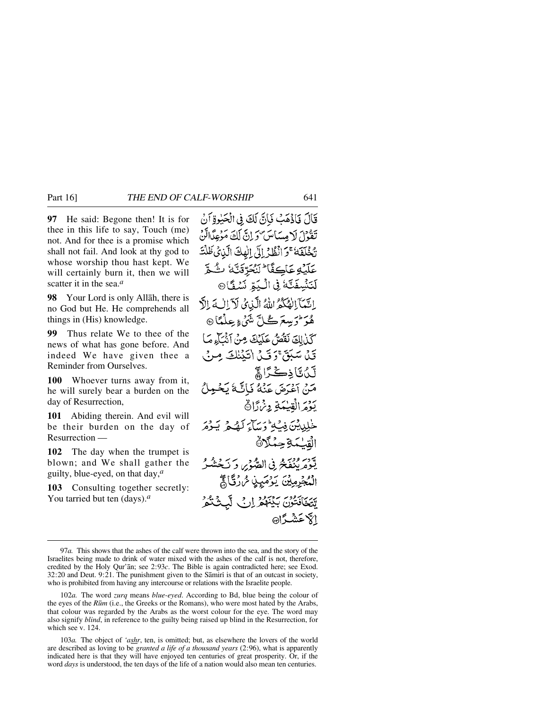**97** He said: Begone then! It is for thee in this life to say, Touch (me) not. And for thee is a promise which shall not fail. And look at thy god to whose worship thou hast kept. We will certainly burn it, then we will scatter it in the sea.*a*

**98** Your Lord is only Allåh, there is no God but He. He comprehends all things in (His) knowledge.

**99** Thus relate We to thee of the news of what has gone before. And indeed We have given thee a Reminder from Ourselves.

**100** Whoever turns away from it, he will surely bear a burden on the day of Resurrection,

**101** Abiding therein. And evil will be their burden on the day of Resurrection —

**102** The day when the trumpet is blown; and We shall gather the guilty, blue-eyed, on that day,*a*

**103** Consulting together secretly: You tarried but ten (days).*a*

قَالَ فَأَذْهَبُ فَأَنَّ لَكَ فِي الْحَيْوَةِ أَنْ تَفْوُلَ لَا مِسَاسَ وَ إِنَّ لَكَ مَوْعِدًاتَنَ تَّخْلَفَهُ ۚ وَ أَنْظُدْ إِلَى الْهِكَ الَّذِي ظَلَّتَ عَلَيْهِ عَاكِفًا ۖ لَنُحَرِّقَنَّهُ ۚ تُ هُمَّ لَنَنْسِفَتَّهُ فِي الْكِبَّرِ نَسْفَاً® بِاتِيمَا الصَّكْمُ اللَّهُ الَّذِي لَاَ اللَّهَ إِلَّ هُوَ لَمْ يَسْعَرَ كُلِّ شَيْءٍ عِلْمَاً ۞ كذلك نقص عَلَيْكَ مِنْ آشْيَاءِ مَا قَيْلَ سَبَقَ؟ وَ قَيْلَ اٰتَيْنَلُكَ مِ **لَ**نُ تَاذِكْرًا ﴾ مَنْ إِعْدَمَ عَنْهُ فَبَاتَيْهُ بَعْبِهِ يَوْمَرَالْقِيْمَةِ وِئْرَرَانَ خْلِيِيْنَ فِيَّةُ وَسَاءَ لَهُ جَمْ يَجْهَرَ القلىكة حِكْلاَة يَّةً مَرْنُغَةً فِي الصُِّّي وَ يَجْشُرُ الْمُجْرِمِيْنَ يَوْمَيِّنِي شَرْرَقَاهِجَ يَّتِيجَافَتُوْنَ بَدْيَنَهُمْ إِرِي لَّهُ الكاعشيةاها

<sup>97</sup>*a.* This shows that the ashes of the calf were thrown into the sea, and the story of the Israelites being made to drink of water mixed with the ashes of the calf is not, therefore, credited by the Holy Qur'ån; see 2:93*c*. The Bible is again contradicted here; see Exod.  $32:20$  and Deut.  $9:21$ . The punishment given to the Samiri is that of an outcast in society, who is prohibited from having any intercourse or relations with the Israelite people.

<sup>102</sup>*a.* The word *zurq* means *blue-eyed*. According to Bd, blue being the colour of the eyes of the *R∂m* (i.e., the Greeks or the Romans), who were most hated by the Arabs, that colour was regarded by the Arabs as the worst colour for the eye. The word may also signify *blind*, in reference to the guilty being raised up blind in the Resurrection, for which see v. 124.

<sup>103</sup>*a.* The object of *'ashr*, ten, is omitted; but, as elsewhere the lovers of the world are described as loving to be *granted a life of a thousand years* (2:96), what is apparently indicated here is that they will have enjoyed ten centuries of great prosperity. Or, if the word *days* is understood, the ten days of the life of a nation would also mean ten centuries.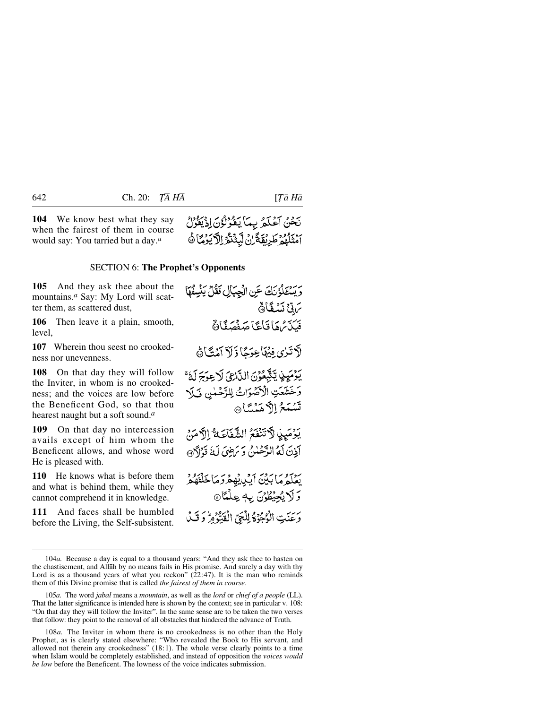**104** We know best what they say when the fairest of them in course would say: You tarried but a day.*a*



## SECTION 6: **The Prophet's Opponents**

**105** And they ask thee about the mountains.*a* Say: My Lord will scatter them, as scattered dust,

**106** Then leave it a plain, smooth, level.

**107** Wherein thou seest no crookedness nor unevenness.

**108** On that day they will follow the Inviter, in whom is no crookedness; and the voices are low before the Beneficent God, so that thou hearest naught but a soft sound.*a*

**109** On that day no intercession avails except of him whom the Beneficent allows, and whose word He is pleased with.

**110** He knows what is before them and what is behind them, while they cannot comprehend it in knowledge.

**111** And faces shall be humbled before the Living, the Self-subsistent.

وَيَسْتَلَوْنَكَ عَنِ الْجِبَالِ فَقُلْ يَنْسِفُهَا 75 نَسْكَانَ فَيَكْتَرُهُمَا قَاعًا صَفْصَقًا ﴾ لَّا تَرٰى ِفِيُهَا عِوَجًا ذَلاَ أَمُنَّاهُ بَوْمَيِنٍ يَتَّبِعُوْنَ اللَّارِئِ لَا عِوَجَ لَهُ ۚ وَخَشَعَتِ الْأَصْوَاتُ لِلرَّحْمٰنِ فَبَلَا تَسْمَعُ اِلاَّ هَمْسَّا يَوْمَيِنِ لَآتَنْفَعُ الشَّفَاعَةُ إِلَّا مَنْ آذنَ لَهُ الدَّحْلُنُ وَيَرْضِيَ لَهُ قَرْآَهُ ﴾ ربع مابين أيريهفركما خلفهم وَلَا يُجِيْطُوْنَ بِهِ عِلْمًا۞ وَعَنَتِ الْوُجُوْدُ لِلْجَيِّ الْفَدُّومُ وَ قَبْلُ

108*a.* The Inviter in whom there is no crookedness is no other than the Holy Prophet, as is clearly stated elsewhere: "Who revealed the Book to His servant, and allowed not therein any crookedness" (18:1). The whole verse clearly points to a time when Islåm would be completely established, and instead of opposition the *voices would be low* before the Beneficent. The lowness of the voice indicates submission.

<sup>104</sup>*a.* Because a day is equal to a thousand years: "And they ask thee to hasten on the chastisement, and Allåh by no means fails in His promise. And surely a day with thy Lord is as a thousand years of what you reckon" (22:47). It is the man who reminds them of this Divine promise that is called *the fairest of them in course*.

<sup>105</sup>*a.* The word *jabal* means a *mountain*, as well as the *lord* or *chief of a people* (LL). That the latter significance is intended here is shown by the context; see in particular v. 108: "On that day they will follow the Inviter". In the same sense are to be taken the two verses that follow: they point to the removal of all obstacles that hindered the advance of Truth.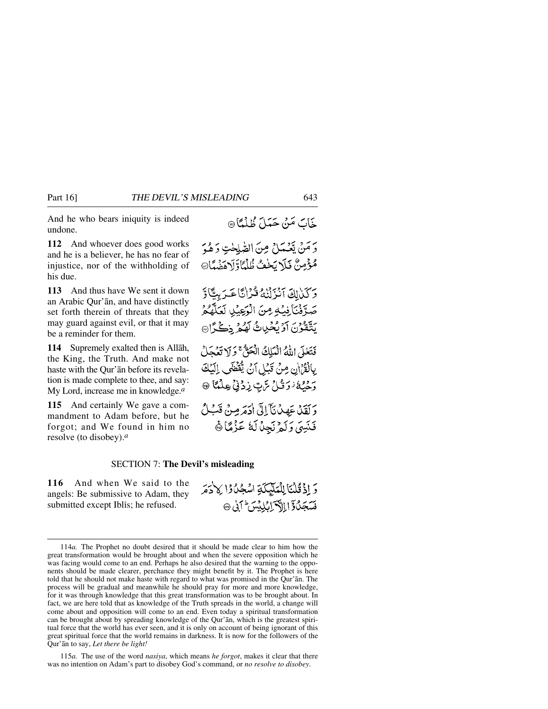And he who bears iniquity is indeed undone.

**112** And whoever does good works and he is a believer, he has no fear of injustice, nor of the withholding of his due.

**113** And thus have We sent it down an Arabic Qur'ån, and have distinctly set forth therein of threats that they may guard against evil, or that it may be a reminder for them.

**114** Supremely exalted then is Allåh, the King, the Truth. And make not haste with the Qur'ån before its revelation is made complete to thee, and say: My Lord, increase me in knowledge.*a*

**115** And certainly We gave a commandment to Adam before, but he forgot; and We found in him no resolve (to disobey).*a*

وَمَنْ يَعْمَلْ مِنَ الطّْلِحْتِ وَهُوَ مُؤْمِنٌ فَلَا بَحْفُ ظُلْمًاَ وَلَاهَضُيَّا ﴾

وَكَلَالِكَ آنَزَلْنَاهُ قُرْانًا عَرَبِيًّاوَّ صَرَّفْنَا فِيُهِ مِنَ الْوَعِيْلِ لَعَلَّهُ مُ يَتَّقَوْنَ آَرْيُخُرِيثُ لَهُمْ ِذِكْرًا

فَتَعْلَى اللَّهُ الْمَلِكُ الْحَقُّ ۚ وَلَا تَعُحَلُ بِالْقُرْانِ مِنْ قَبْلِ أَنْ يُقْضَى إِلَيْكَ رَدِيدُ دَوَتَلْ تَرَبِّ زِدْنِيْ عِلْمًا @

وَلَقَلْ عَهِدْنَآ إِلَى اٰذِمَرْمِنْ قَبْلُ فَنَيِيَ وَلَمْ نَجِلْ لَهُ عَزْمًا ﴾

## SECTION 7: **The Devil's misleading**

**116** And when We said to the angels: Be submissive to Adam, they submitted except Iblis; he refused.

وَ إِذْ قُلْنَا لِلْمَلَيْكَةِ اسْجُلُوْا لِاذْمَرَ فَسَجَلُ وَإِبِالْكَمَانِ لِلِيْسَ ٢ فَي ١٥

115*a.* The use of the word *nasiya*, which means *he forgot*, makes it clear that there was no intention on Adam's part to disobey God's command, or *no resolve to disobey*.

<sup>114</sup>*a.* The Prophet no doubt desired that it should be made clear to him how the great transformation would be brought about and when the severe opposition which he was facing would come to an end. Perhaps he also desired that the warning to the opponents should be made clearer, perchance they might benefit by it. The Prophet is here told that he should not make haste with regard to what was promised in the Qur'ån. The process will be gradual and meanwhile he should pray for more and more knowledge, for it was through knowledge that this great transformation was to be brought about. In fact, we are here told that as knowledge of the Truth spreads in the world, a change will come about and opposition will come to an end. Even today a spiritual transformation can be brought about by spreading knowledge of the Qur'ån, which is the greatest spiritual force that the world has ever seen, and it is only on account of being ignorant of this great spiritual force that the world remains in darkness. It is now for the followers of the Qur'ån to say, *Let there be light!*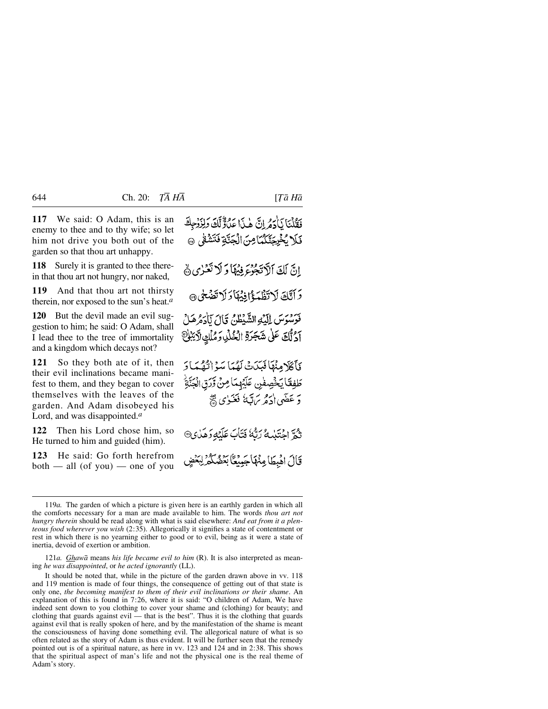**117** We said: O Adam, this is an enemy to thee and to thy wife; so let him not drive you both out of the garden so that thou art unhappy.

**118** Surely it is granted to thee therein that thou art not hungry, nor naked,

**119** And that thou art not thirsty therein, nor exposed to the sun's heat.*a*

**120** But the devil made an evil suggestion to him; he said: O Adam, shall I lead thee to the tree of immortality and a kingdom which decays not?

**121** So they both ate of it, then their evil inclinations became manifest to them, and they began to cover themselves with the leaves of the garden. And Adam disobeyed his Lord, and was disappointed.*a*

**122** Then his Lord chose him, so He turned to him and guided (him).

**123** He said: Go forth herefrom both — all (of you) — one of you

فَقُلْنَا يَأْدَمُ إِنَّ هٰذَا عَدُوٌّ لَّكَ وَلِزَوْجِكَ فَلَا يُخْرِجَنَّكُمَّا مِنَ الْجَنَّةِ فَتَشْقَى ۞ انَّ لَكَ ٱلْآتَجُوْءَ فِيهَا وَلَا تَعْزِي هَ وَأَنَّكَ لَاتَظْهَؤُانِيُهَا وَلَاتَضَحْى ٢ فَوَسُوَسَ إِلَيْهِ الشَّيْطُنُ قَالَ لَأَدَهُ هَلْ آدُنَّكَ عَلَىٰ شَجَرَةِ الْخُلْدِ وَمُلْكِ لَآيَبُلِّ فَأَكَلَا مِنْهَا فَبَيْدَتْ لَهُمَا سَوْ الْقُمَارَ طَفِعْاً يَخْصِفُنِ عَلَيْهِمَا مِنْ وَّرَقِ الْجَنَّةِ دَ عَضَىٰ دِهِ مِنْ تَبَعُ فَغَيْرَى ﷺ نَّهُمَّ احْتَنْبِهُ رَبُّهُ فَتَأْبَ عَلَيْهِ وَهَذِي® قَالَ اهْبِطَا مِنْهَاجَهِيعَاً بِعَضْكَمْرِ لِبَعْدِ

121*a. Ghawå* means *his life became evil to him* (R). It is also interpreted as meaning *he was disappointed*, or *he acted ignorantly* (LL).

It should be noted that, while in the picture of the garden drawn above in vv. 118 and 119 mention is made of four things, the consequence of getting out of that state is only one, *the becoming manifest to them of their evil inclinations or their shame*. An explanation of this is found in 7:26, where it is said: "O children of Adam, We have indeed sent down to you clothing to cover your shame and (clothing) for beauty; and clothing that guards against evil — that is the best". Thus it is the clothing that guards against evil that is really spoken of here, and by the manifestation of the shame is meant the consciousness of having done something evil. The allegorical nature of what is so often related as the story of Adam is thus evident. It will be further seen that the remedy pointed out is of a spiritual nature, as here in vv. 123 and 124 and in 2:38. This shows that the spiritual aspect of man's life and not the physical one is the real theme of Adam's story.

<sup>119</sup>*a.* The garden of which a picture is given here is an earthly garden in which all the comforts necessary for a man are made available to him. The words *thou art not hungry therein* should be read along with what is said elsewhere: *And eat from it a plenteous food wherever you wish* (2:35). Allegorically it signifies a state of contentment or rest in which there is no yearning either to good or to evil, being as it were a state of inertia, devoid of exertion or ambition.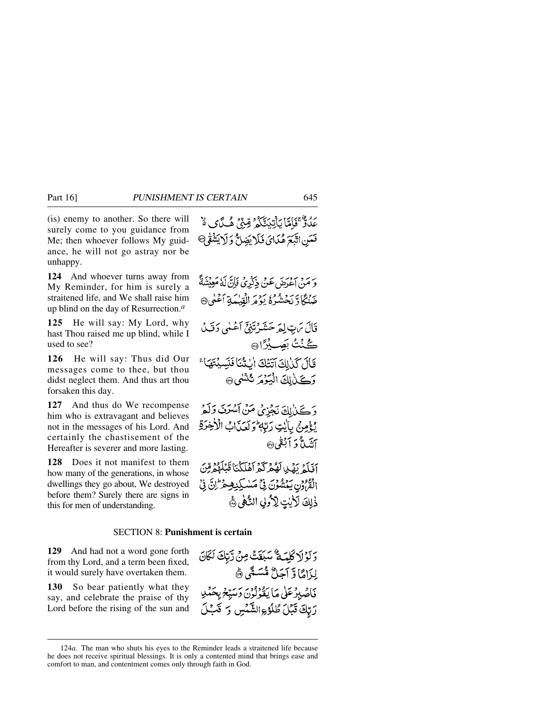(is) enemy to another. So there will surely come to you guidance from Me; then whoever follows My guidance, he will not go astray nor be unhappy.

**124** And whoever turns away from My Reminder, for him is surely a straitened life, and We shall raise him up blind on the day of Resurrection.*a*

**125** He will say: My Lord, why hast Thou raised me up blind, while I used to see?

**126** He will say: Thus did Our messages come to thee, but thou didst neglect them. And thus art thou forsaken this day.

**127** And thus do We recompense him who is extravagant and believes not in the messages of his Lord. And certainly the chastisement of the Hereafter is severer and more lasting.

**128** Does it not manifest to them how many of the generations, in whose dwellings they go about, We destroyed before them? Surely there are signs in this for men of understanding.

عِلَالٌ ۚ قَامَآ يَأْتِيَتَّكُمُ ۖ مِّنِّيَ هُـَدَّىَ هُ ۚ فَعَيْنِ اتَّبَعَ هُدَايَ فَلَا يَضِلُّ وَلَا يَشْفَى

يَرِ مَنْ أَعْدَمَنِ عَنْ ذَكَرِيْ فَإِنَّ لَهُ مَعِيْشَةً ۚ ضَنْكَادَ نَحْشُرُهُ يَوْمَرِ الْفَيْبَدَةِ أَعْلَى ۞

- قَالَ يَرْتِ لِمَرْحَشَرْتَنِيِّ أَعْلَى دَقْ لَ گُنۡتُ بَصِيْرًا۞
- قَالَ كَذَلِكَ آتَتُكَ الْتَثْنَا فَنَسِيْتَهَا؟ وَكَذَٰإِلَٰ الْبَوۡمَرَ ثَنْشَلَ @

وَكَذَالِكَ نَجْزِيُ مَنْ آسُرَنَ وَلَمْ يُؤْمِنُ بِاَيْتِ رَبِّهِ وَ لَعَدَابُ الْأَخِرَةِ أنئيلاً وَ أَبْغَى ۞

آفَلَهُ بَهْدٍ لَهُمْ كَمْ أَهْلَكْنَا قَبْلَهُمْ قِنَ الْقُرُونِ يَمْشُوْنَ فِي مَسْكِنِصِمْرَ إِنَّ فِي ذٰلِكَ لَأَيْتٍ لِأَرُولِ النَّاهِي ﴾

## SECTION 8: **Punishment is certain**

**129** And had not a word gone forth from thy Lord, and a term been fixed, it would surely have overtaken them.

**130** So bear patiently what they say, and celebrate the praise of thy Lord before the rising of the sun and

وَلَوْلَا كَلِمَةٌ سَبَقَتْ مِنْ رَّبِّكَ لَكَانَ لِزَامًا وَّ اَجَلُّ مُّسَمًّى ﴾ فَأَصْبِرْ عَلَى مَا بِبُرْدُوْنَ وَسَبِّعْ بِحَمْدِ رَبِّكَ قَبْلَ طُلُوْءِالشَّمْسِ رَ قَبْلَ

<sup>124</sup>*a.* The man who shuts his eyes to the Reminder leads a straitened life because he does not receive spiritual blessings. It is only a contented mind that brings ease and comfort to man, and contentment comes only through faith in God.